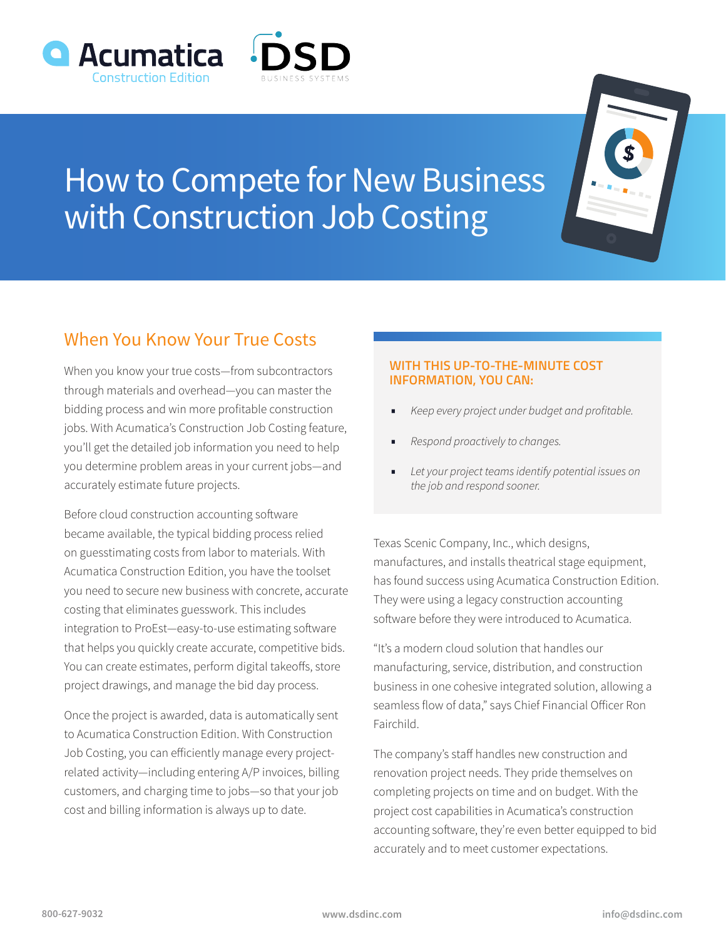



## How to Compete for New Business with Construction Job Costing

## When You Know Your True Costs

When you know your true costs—from subcontractors through materials and overhead—you can master the bidding process and win more profitable construction jobs. With Acumatica's Construction Job Costing feature, you'll get the detailed job information you need to help you determine problem areas in your current jobs—and accurately estimate future projects.

Before cloud construction accounting software became available, the typical bidding process relied on guesstimating costs from labor to materials. With Acumatica Construction Edition, you have the toolset you need to secure new business with concrete, accurate costing that eliminates guesswork. This includes integration to ProEst—easy-to-use estimating software that helps you quickly create accurate, competitive bids. You can create estimates, perform digital takeoffs, store project drawings, and manage the bid day process.

Once the project is awarded, data is automatically sent to Acumatica Construction Edition. With Construction Job Costing, you can efficiently manage every projectrelated activity—including entering A/P invoices, billing customers, and charging time to jobs—so that your job cost and billing information is always up to date.

## **WITH THIS UP-TO-THE-MINUTE COST INFORMATION, YOU CAN:**

- *• Keep every project under budget and profitable.*
- *• Respond proactively to changes.*
- *• Let your project teams identify potential issues on the job and respond sooner.*

Texas Scenic Company, Inc., which designs, manufactures, and installs theatrical stage equipment, has found success using Acumatica Construction Edition. They were using a legacy construction accounting software before they were introduced to Acumatica.

"It's a modern cloud solution that handles our manufacturing, service, distribution, and construction business in one cohesive integrated solution, allowing a seamless flow of data," says Chief Financial Officer Ron Fairchild.

The company's staff handles new construction and renovation project needs. They pride themselves on completing projects on time and on budget. With the project cost capabilities in Acumatica's construction accounting software, they're even better equipped to bid accurately and to meet customer expectations.